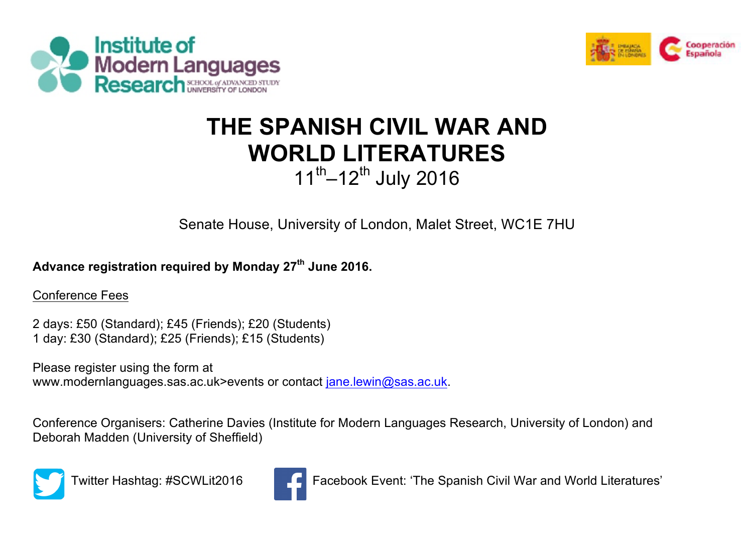



## **THE SPANISH CIVIL WAR AND WORLD LITERATURES**  $11^{th}$ –12<sup>th</sup> July 2016

Senate House, University of London, Malet Street, WC1E 7HU

## **Advance registration required by Monday 27th June 2016.**

Conference Fees

2 days: £50 (Standard); £45 (Friends); £20 (Students) 1 day: £30 (Standard); £25 (Friends); £15 (Students)

Please register using the form at www.modernlanguages.sas.ac.uk>events or contact jane.lewin@sas.ac.uk.

Conference Organisers: Catherine Davies (Institute for Modern Languages Research, University of London) and Deborah Madden (University of Sheffield)



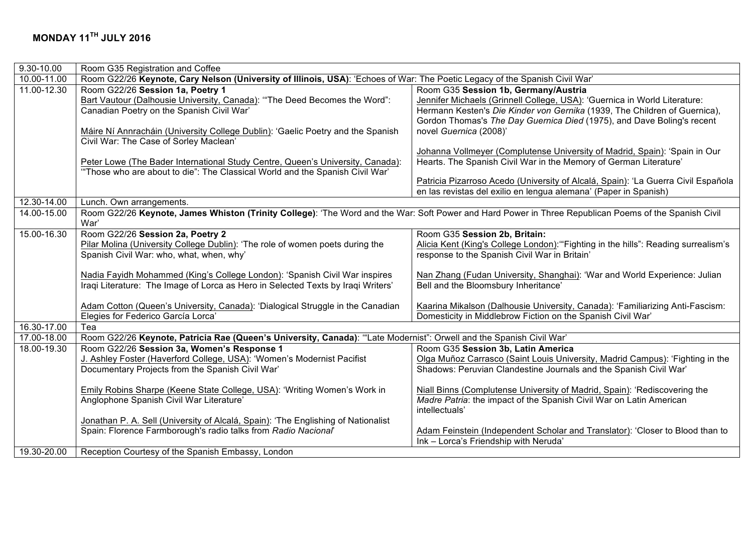| $9.30 - 10.00$ | Room G35 Registration and Coffee                                                                                                                      |                                                                                    |  |
|----------------|-------------------------------------------------------------------------------------------------------------------------------------------------------|------------------------------------------------------------------------------------|--|
| 10.00-11.00    | Room G22/26 Keynote, Cary Nelson (University of Illinois, USA): 'Echoes of War: The Poetic Legacy of the Spanish Civil War'                           |                                                                                    |  |
| 11.00-12.30    | Room G22/26 Session 1a, Poetry 1                                                                                                                      | Room G35 Session 1b, Germany/Austria                                               |  |
|                | Bart Vautour (Dalhousie University, Canada): "The Deed Becomes the Word":                                                                             | Jennifer Michaels (Grinnell College, USA): 'Guernica in World Literature:          |  |
|                | Canadian Poetry on the Spanish Civil War'                                                                                                             | Hermann Kesten's Die Kinder von Gernika (1939, The Children of Guernica),          |  |
|                |                                                                                                                                                       | Gordon Thomas's The Day Guernica Died (1975), and Dave Boling's recent             |  |
|                | Máire Ní Annracháin (University College Dublin): 'Gaelic Poetry and the Spanish                                                                       | novel Guernica (2008)'                                                             |  |
|                | Civil War: The Case of Sorley Maclean'                                                                                                                |                                                                                    |  |
|                |                                                                                                                                                       | Johanna Vollmeyer (Complutense University of Madrid, Spain): 'Spain in Our         |  |
|                | Peter Lowe (The Bader International Study Centre, Queen's University, Canada):                                                                        | Hearts. The Spanish Civil War in the Memory of German Literature'                  |  |
|                | "Those who are about to die": The Classical World and the Spanish Civil War'                                                                          |                                                                                    |  |
|                |                                                                                                                                                       | Patricia Pizarroso Acedo (University of Alcalá, Spain): 'La Guerra Civil Española  |  |
|                |                                                                                                                                                       | en las revistas del exilio en lengua alemana' (Paper in Spanish)                   |  |
| 12.30-14.00    | Lunch. Own arrangements.                                                                                                                              |                                                                                    |  |
| 14.00-15.00    | Room G22/26 Keynote, James Whiston (Trinity College): 'The Word and the War: Soft Power and Hard Power in Three Republican Poems of the Spanish Civil |                                                                                    |  |
|                | War'                                                                                                                                                  |                                                                                    |  |
| 15.00-16.30    | Room G22/26 Session 2a, Poetry 2                                                                                                                      | Room G35 Session 2b, Britain:                                                      |  |
|                | Pilar Molina (University College Dublin): 'The role of women poets during the                                                                         | Alicia Kent (King's College London): "Fighting in the hills": Reading surrealism's |  |
|                | Spanish Civil War: who, what, when, why'                                                                                                              | response to the Spanish Civil War in Britain'                                      |  |
|                |                                                                                                                                                       |                                                                                    |  |
|                | Nadia Fayidh Mohammed (King's College London): 'Spanish Civil War inspires                                                                            | Nan Zhang (Fudan University, Shanghai): 'War and World Experience: Julian          |  |
|                | Iraqi Literature: The Image of Lorca as Hero in Selected Texts by Iraqi Writers'                                                                      | Bell and the Bloomsbury Inheritance'                                               |  |
|                | Adam Cotton (Queen's University, Canada): 'Dialogical Struggle in the Canadian                                                                        | Kaarina Mikalson (Dalhousie University, Canada): 'Familiarizing Anti-Fascism:      |  |
|                | Elegies for Federico García Lorca'                                                                                                                    | Domesticity in Middlebrow Fiction on the Spanish Civil War'                        |  |
| 16.30-17.00    | Tea                                                                                                                                                   |                                                                                    |  |
| 17.00-18.00    | Room G22/26 Keynote, Patricia Rae (Queen's University, Canada): "Late Modernist": Orwell and the Spanish Civil War'                                   |                                                                                    |  |
| 18.00-19.30    | Room G22/26 Session 3a, Women's Response 1                                                                                                            | Room G35 Session 3b, Latin America                                                 |  |
|                | J. Ashley Foster (Haverford College, USA): 'Women's Modernist Pacifist                                                                                | Olga Muñoz Carrasco (Saint Louis University, Madrid Campus): 'Fighting in the      |  |
|                | Documentary Projects from the Spanish Civil War'                                                                                                      | Shadows: Peruvian Clandestine Journals and the Spanish Civil War'                  |  |
|                |                                                                                                                                                       |                                                                                    |  |
|                | Emily Robins Sharpe (Keene State College, USA): 'Writing Women's Work in                                                                              | Niall Binns (Complutense University of Madrid, Spain): 'Rediscovering the          |  |
|                | Anglophone Spanish Civil War Literature'                                                                                                              | Madre Patria: the impact of the Spanish Civil War on Latin American                |  |
|                |                                                                                                                                                       | intellectuals'                                                                     |  |
|                | Jonathan P. A. Sell (University of Alcalá, Spain): 'The Englishing of Nationalist                                                                     |                                                                                    |  |
|                | Spain: Florence Farmborough's radio talks from Radio Nacional'                                                                                        | Adam Feinstein (Independent Scholar and Translator): 'Closer to Blood than to      |  |
|                |                                                                                                                                                       | Ink - Lorca's Friendship with Neruda'                                              |  |
| 19.30-20.00    | Reception Courtesy of the Spanish Embassy, London                                                                                                     |                                                                                    |  |